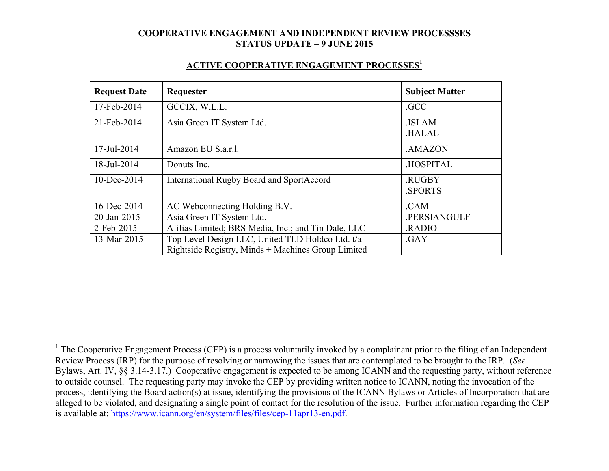| ACTIVE COOPERATIVE ENGAGEMENT PROCESSES <sup>1</sup> |
|------------------------------------------------------|
|------------------------------------------------------|

| <b>Request Date</b> | Requester                                                                                              | <b>Subject Matter</b>        |
|---------------------|--------------------------------------------------------------------------------------------------------|------------------------------|
| 17-Feb-2014         | GCCIX, W.L.L.                                                                                          | .GCC                         |
| 21-Feb-2014         | Asia Green IT System Ltd.                                                                              | <b>ISLAM</b><br><b>HALAL</b> |
| 17-Jul-2014         | Amazon EU S.a.r.l.                                                                                     | .AMAZON                      |
| 18-Jul-2014         | Donuts Inc.                                                                                            | <b>HOSPITAL</b>              |
| $10$ -Dec-2014      | International Rugby Board and SportAccord                                                              | .RUGBY<br><b>SPORTS</b>      |
| 16-Dec-2014         | AC Webconnecting Holding B.V.                                                                          | .CAM                         |
| 20-Jan-2015         | Asia Green IT System Ltd.                                                                              | .PERSIANGULF                 |
| 2-Feb-2015          | Afilias Limited; BRS Media, Inc.; and Tin Dale, LLC                                                    | <b>RADIO</b>                 |
| 13-Mar-2015         | Top Level Design LLC, United TLD Holdco Ltd. t/a<br>Rightside Registry, Minds + Machines Group Limited | .GAY                         |

<sup>&</sup>lt;sup>1</sup> The Cooperative Engagement Process (CEP) is a process voluntarily invoked by a complainant prior to the filing of an Independent Review Process (IRP) for the purpose of resolving or narrowing the issues that are contemplated to be brought to the IRP. (*See* Bylaws, Art. IV, §§ 3.14-3.17.) Cooperative engagement is expected to be among ICANN and the requesting party, without reference to outside counsel. The requesting party may invoke the CEP by providing written notice to ICANN, noting the invocation of the process, identifying the Board action(s) at issue, identifying the provisions of the ICANN Bylaws or Articles of Incorporation that are alleged to be violated, and designating a single point of contact for the resolution of the issue. Further information regarding the CEP is available at: https://www.icann.org/en/system/files/files/cep-11apr13-en.pdf.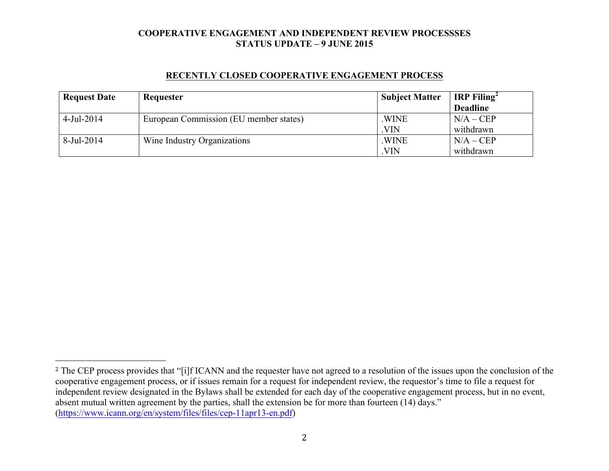| <b>Request Date</b> | Requester                              | <b>Subject Matter</b> | <b>IRP</b> Filing <sup>2</sup> |
|---------------------|----------------------------------------|-----------------------|--------------------------------|
|                     |                                        |                       | <b>Deadline</b>                |
| $4$ -Jul-2014       | European Commission (EU member states) | .WINE                 | $N/A - CEP$                    |
|                     |                                        | <b>VIN</b>            | withdrawn                      |
| 8-Jul-2014          | Wine Industry Organizations            | .WINE                 | $N/A - CEP$                    |
|                     |                                        | VIN.                  | withdrawn                      |

#### **RECENTLY CLOSED COOPERATIVE ENGAGEMENT PROCESS**

 

<sup>&</sup>lt;sup>2</sup> The CEP process provides that "[i]f ICANN and the requester have not agreed to a resolution of the issues upon the conclusion of the cooperative engagement process, or if issues remain for a request for independent review, the requestor's time to file a request for independent review designated in the Bylaws shall be extended for each day of the cooperative engagement process, but in no event, absent mutual written agreement by the parties, shall the extension be for more than fourteen (14) days." (https://www.icann.org/en/system/files/files/cep-11apr13-en.pdf)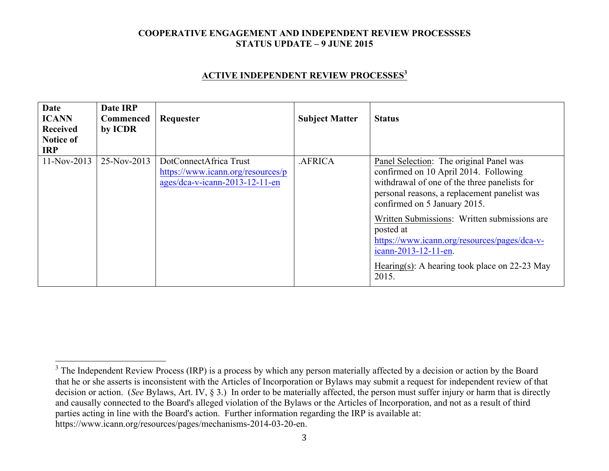### **ACTIVE INDEPENDENT REVIEW PROCESSES<sup>3</sup>**

| Date<br><b>ICANN</b><br><b>Received</b><br><b>Notice of</b><br><b>IRP</b> | Date IRP<br><b>Commenced</b><br>by ICDR | Requester                                                                                       | <b>Subject Matter</b> | <b>Status</b>                                                                                                                                                                                                                                                                                                                                                                                                     |
|---------------------------------------------------------------------------|-----------------------------------------|-------------------------------------------------------------------------------------------------|-----------------------|-------------------------------------------------------------------------------------------------------------------------------------------------------------------------------------------------------------------------------------------------------------------------------------------------------------------------------------------------------------------------------------------------------------------|
| $11-Nov-2013$                                                             | 25-Nov-2013                             | DotConnectAfrica Trust<br>https://www.icann.org/resources/p<br>$ages/dea-v-icann-2013-12-11-en$ | .AFRICA               | Panel Selection: The original Panel was<br>confirmed on 10 April 2014. Following<br>withdrawal of one of the three panelists for<br>personal reasons, a replacement panelist was<br>confirmed on 5 January 2015.<br>Written Submissions: Written submissions are<br>posted at<br>https://www.icann.org/resources/pages/dca-v-<br>icann-2013-12-11-en.<br>Hearing(s): A hearing took place on $22-23$ May<br>2015. |

<sup>&</sup>lt;sup>3</sup> The Independent Review Process (IRP) is a process by which any person materially affected by a decision or action by the Board that he or she asserts is inconsistent with the Articles of Incorporation or Bylaws may submit a request for independent review of that decision or action. (*See* Bylaws, Art. IV, § 3.) In order to be materially affected, the person must suffer injury or harm that is directly and causally connected to the Board's alleged violation of the Bylaws or the Articles of Incorporation, and not as a result of third parties acting in line with the Board's action. Further information regarding the IRP is available at: https://www.icann.org/resources/pages/mechanisms-2014-03-20-en.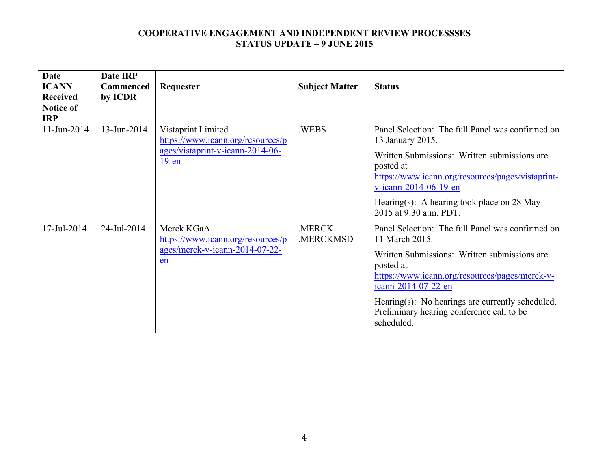| <b>Date</b><br><b>ICANN</b><br><b>Received</b><br><b>Notice of</b><br><b>IRP</b> | <b>Date IRP</b><br><b>Commenced</b><br>by ICDR | Requester                                                                                               | <b>Subject Matter</b> | <b>Status</b>                                                                                                                                                                                                                                                                                                              |
|----------------------------------------------------------------------------------|------------------------------------------------|---------------------------------------------------------------------------------------------------------|-----------------------|----------------------------------------------------------------------------------------------------------------------------------------------------------------------------------------------------------------------------------------------------------------------------------------------------------------------------|
| 11-Jun-2014                                                                      | 13-Jun-2014                                    | Vistaprint Limited<br>https://www.icann.org/resources/p<br>ages/vistaprint-v-icann-2014-06-<br>$19$ -en | .WEBS                 | Panel Selection: The full Panel was confirmed on<br>13 January 2015.<br>Written Submissions: Written submissions are<br>posted at<br>https://www.icann.org/resources/pages/vistaprint-<br>v-icann-2014-06-19-en<br>Hearing(s): A hearing took place on 28 May<br>2015 at 9:30 a.m. PDT.                                    |
| 17-Jul-2014                                                                      | 24-Jul-2014                                    | Merck KGaA<br>https://www.icann.org/resources/p<br>ages/merck-v-icann-2014-07-22-<br>en                 | .MERCK<br>.MERCKMSD   | Panel Selection: The full Panel was confirmed on<br>11 March 2015.<br>Written Submissions: Written submissions are<br>posted at<br>https://www.icann.org/resources/pages/merck-v-<br>icann-2014-07-22-en<br>$Hearing(s)$ : No hearings are currently scheduled.<br>Preliminary hearing conference call to be<br>scheduled. |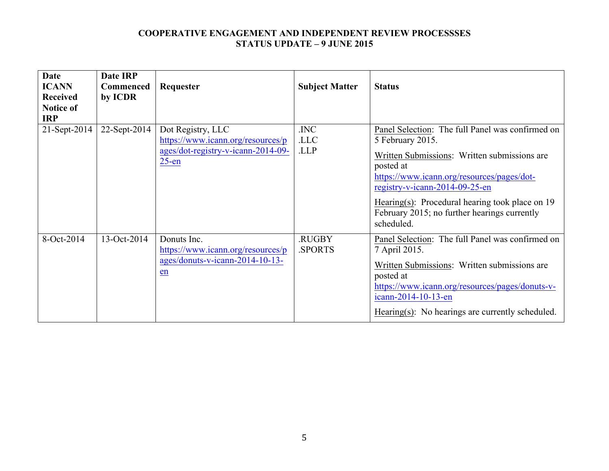| <b>Date</b><br><b>ICANN</b><br><b>Received</b><br>Notice of<br><b>IRP</b> | Date IRP<br><b>Commenced</b><br>by ICDR | Requester                                                                                                | <b>Subject Matter</b>   | <b>Status</b>                                                                                                                                                                                                                                                                                                                        |
|---------------------------------------------------------------------------|-----------------------------------------|----------------------------------------------------------------------------------------------------------|-------------------------|--------------------------------------------------------------------------------------------------------------------------------------------------------------------------------------------------------------------------------------------------------------------------------------------------------------------------------------|
| 21-Sept-2014                                                              | 22-Sept-2014                            | Dot Registry, LLC<br>https://www.icann.org/resources/p<br>ages/dot-registry-v-icann-2014-09-<br>$25$ -en | .INC<br>.LLC<br>.LLP    | Panel Selection: The full Panel was confirmed on<br>5 February 2015.<br>Written Submissions: Written submissions are<br>posted at<br>https://www.icann.org/resources/pages/dot-<br>registry-v-icann-2014-09-25-en<br>Hearing(s): Procedural hearing took place on $19$<br>February 2015; no further hearings currently<br>scheduled. |
| 8-Oct-2014                                                                | 13-Oct-2014                             | Donuts Inc.<br>https://www.icann.org/resources/p<br>$ages/donuts-v-icann-2014-10-13-$<br>en              | .RUGBY<br><b>SPORTS</b> | Panel Selection: The full Panel was confirmed on<br>7 April 2015.<br>Written Submissions: Written submissions are<br>posted at<br>https://www.icann.org/resources/pages/donuts-v-<br>icann-2014-10-13-en<br>Hearing(s): No hearings are currently scheduled.                                                                         |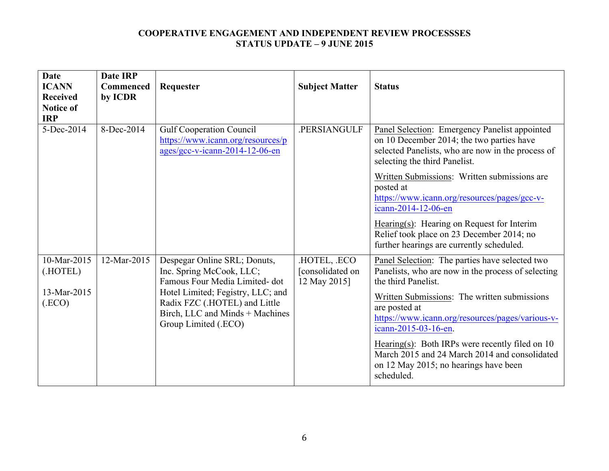| Date<br><b>ICANN</b><br><b>Received</b><br><b>Notice of</b><br><b>IRP</b> | <b>Date IRP</b><br><b>Commenced</b><br>by ICDR | Requester                                                                                                                     | <b>Subject Matter</b>                           | <b>Status</b>                                                                                                                                                                    |
|---------------------------------------------------------------------------|------------------------------------------------|-------------------------------------------------------------------------------------------------------------------------------|-------------------------------------------------|----------------------------------------------------------------------------------------------------------------------------------------------------------------------------------|
| 5-Dec-2014                                                                | 8-Dec-2014                                     | <b>Gulf Cooperation Council</b><br>https://www.icann.org/resources/p<br>ages/gcc-v-icann-2014-12-06-en                        | .PERSIANGULF                                    | Panel Selection: Emergency Panelist appointed<br>on 10 December 2014; the two parties have<br>selected Panelists, who are now in the process of<br>selecting the third Panelist. |
|                                                                           |                                                |                                                                                                                               |                                                 | Written Submissions: Written submissions are<br>posted at<br>https://www.icann.org/resources/pages/gcc-v-<br>icann-2014-12-06-en                                                 |
|                                                                           |                                                |                                                                                                                               |                                                 | Hearing(s): Hearing on Request for Interim<br>Relief took place on 23 December 2014; no<br>further hearings are currently scheduled.                                             |
| 10-Mar-2015<br>(.HOTEL)                                                   | 12-Mar-2015                                    | Despegar Online SRL; Donuts,<br>Inc. Spring McCook, LLC;<br>Famous Four Media Limited-dot                                     | HOTEL, .ECO<br>[consolidated on<br>12 May 2015] | Panel Selection: The parties have selected two<br>Panelists, who are now in the process of selecting<br>the third Panelist.                                                      |
| 13-Mar-2015<br>(ECO)                                                      |                                                | Hotel Limited; Fegistry, LLC; and<br>Radix FZC (.HOTEL) and Little<br>Birch, LLC and Minds + Machines<br>Group Limited (.ECO) |                                                 | Written Submissions: The written submissions<br>are posted at<br>https://www.icann.org/resources/pages/various-v-<br>icann-2015-03-16-en.                                        |
|                                                                           |                                                |                                                                                                                               |                                                 | Hearing(s): Both IRPs were recently filed on $10$<br>March 2015 and 24 March 2014 and consolidated<br>on 12 May 2015; no hearings have been<br>scheduled.                        |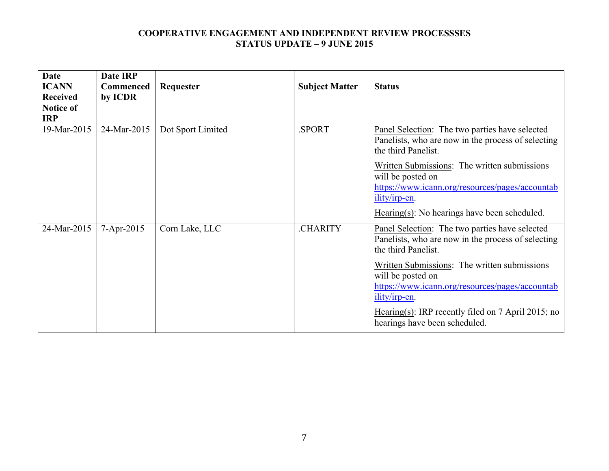| <b>Date</b><br><b>ICANN</b><br><b>Received</b><br><b>Notice of</b><br><b>IRP</b> | Date IRP<br><b>Commenced</b><br>by ICDR | Requester         | <b>Subject Matter</b> | <b>Status</b>                                                                                                                                                                                                                                                                                                                                                 |
|----------------------------------------------------------------------------------|-----------------------------------------|-------------------|-----------------------|---------------------------------------------------------------------------------------------------------------------------------------------------------------------------------------------------------------------------------------------------------------------------------------------------------------------------------------------------------------|
| 19-Mar-2015                                                                      | 24-Mar-2015                             | Dot Sport Limited | .SPORT                | Panel Selection: The two parties have selected<br>Panelists, who are now in the process of selecting<br>the third Panelist.<br>Written Submissions: The written submissions<br>will be posted on<br>https://www.icann.org/resources/pages/accountab<br>ility/irp-en.<br>Hearing $(s)$ : No hearings have been scheduled.                                      |
| 24-Mar-2015                                                                      | $7 - Apr - 2015$                        | Corn Lake, LLC    | .CHARITY              | Panel Selection: The two parties have selected<br>Panelists, who are now in the process of selecting<br>the third Panelist.<br>Written Submissions: The written submissions<br>will be posted on<br>https://www.icann.org/resources/pages/accountab<br>ility/irp-en.<br>Hearing(s): IRP recently filed on $7$ April 2015; no<br>hearings have been scheduled. |